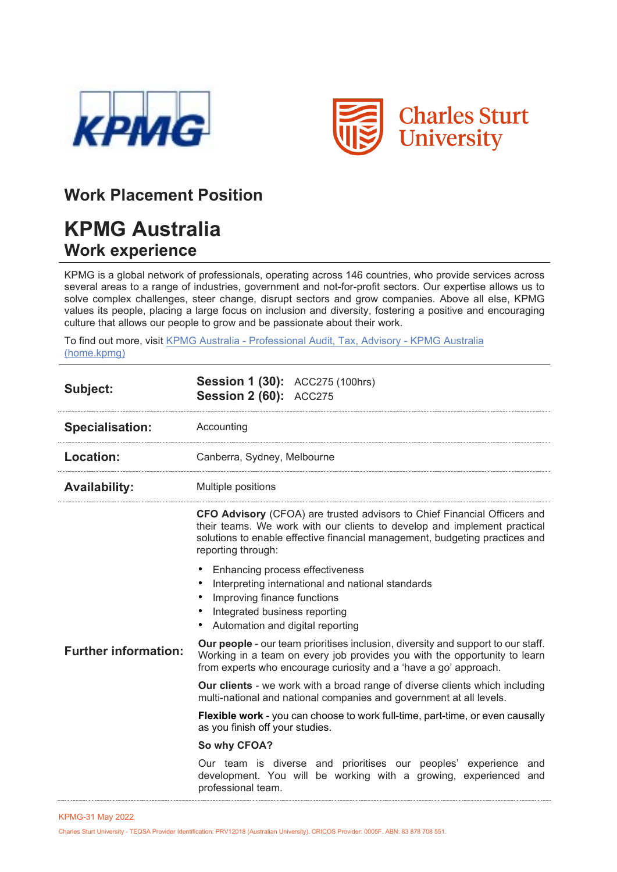



## **Work Placement Position**

## **KPMG Australia Work experience**

KPMG is a global network of professionals, operating across 146 countries, who provide services across several areas to a range of industries, government and not-for-profit sectors. Our expertise allows us to solve complex challenges, steer change, disrupt sectors and grow companies. Above all else, KPMG values its people, placing a large focus on inclusion and diversity, fostering a positive and encouraging culture that allows our people to grow and be passionate about their work.

To find out more, visit KPMG Australia - [Professional Audit, Tax, Advisory -](https://home.kpmg/au/en/home.html) [KPMG Australia](https://home.kpmg/au/en/home.html)  [\(home.kpmg\)](https://home.kpmg/au/en/home.html)

| Subject:                    | <b>Session 1 (30):</b> ACC275 (100hrs)<br><b>Session 2 (60): ACC275</b>                                                                                                                                                                                          |
|-----------------------------|------------------------------------------------------------------------------------------------------------------------------------------------------------------------------------------------------------------------------------------------------------------|
| <b>Specialisation:</b>      | Accounting                                                                                                                                                                                                                                                       |
| <b>Location:</b>            | Canberra, Sydney, Melbourne                                                                                                                                                                                                                                      |
| <b>Availability:</b>        | Multiple positions                                                                                                                                                                                                                                               |
|                             | <b>CFO Advisory</b> (CFOA) are trusted advisors to Chief Financial Officers and<br>their teams. We work with our clients to develop and implement practical<br>solutions to enable effective financial management, budgeting practices and<br>reporting through: |
|                             | Enhancing process effectiveness<br>Interpreting international and national standards<br>٠<br>Improving finance functions<br>٠<br>Integrated business reporting<br>Automation and digital reporting                                                               |
| <b>Further information:</b> | <b>Our people</b> - our team prioritises inclusion, diversity and support to our staff.<br>Working in a team on every job provides you with the opportunity to learn<br>from experts who encourage curiosity and a 'have a go' approach.                         |
|                             | <b>Our clients</b> - we work with a broad range of diverse clients which including<br>multi-national and national companies and government at all levels.                                                                                                        |
|                             | <b>Flexible work</b> - you can choose to work full-time, part-time, or even causally<br>as you finish off your studies.                                                                                                                                          |
|                             | So why CFOA?                                                                                                                                                                                                                                                     |
|                             | Our team is diverse and prioritises our peoples' experience and<br>development. You will be working with a growing, experienced and<br>professional team.                                                                                                        |

Charles Sturt University - TEQSA Provider Identification: PRV12018 (Australian University). CRICOS Provider: 0005F. ABN: 83 878 708 551.